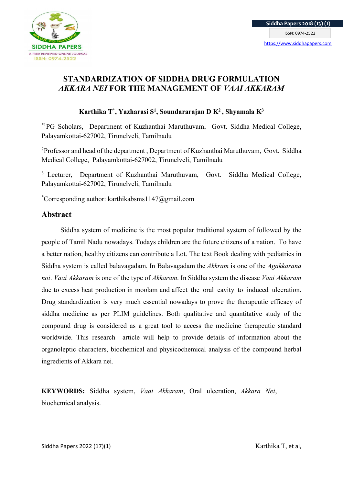

# STANDARDIZATION OF SIDDHA DRUG FORMULATION AKKARA NEI FOR THE MANAGEMENT OF VAAI AKKARAM

# Karthika T<sup>\*</sup>, Yazharasi S<sup>1</sup>, Soundararajan D K<sup>2</sup>, Shyamala K<sup>3</sup>

\*1PG Scholars, Department of Kuzhanthai Maruthuvam, Govt. Siddha Medical College, Palayamkottai-627002, Tirunelveli, Tamilnadu

 $2P$ rofessor and head of the department, Department of Kuzhanthai Maruthuvam, Govt. Siddha Medical College, Palayamkottai-627002, Tirunelveli, Tamilnadu

<sup>3</sup> Lecturer, Department of Kuzhanthai Maruthuvam, Govt. Siddha Medical College, Palayamkottai-627002, Tirunelveli, Tamilnadu

\*Corresponding author: karthikabsms $1147$ @gmail.com

# Abstract

 Siddha system of medicine is the most popular traditional system of followed by the people of Tamil Nadu nowadays. Todays children are the future citizens of a nation. To have a better nation, healthy citizens can contribute a Lot. The text Book dealing with pediatrics in Siddha system is called balavagadam. In Balavagadam the Akkram is one of the Agakkarana noi. Vaai Akkaram is one of the type of Akkaram. In Siddha system the disease Vaai Akkaram due to excess heat production in moolam and affect the oral cavity to induced ulceration. Drug standardization is very much essential nowadays to prove the therapeutic efficacy of siddha medicine as per PLIM guidelines. Both qualitative and quantitative study of the compound drug is considered as a great tool to access the medicine therapeutic standard worldwide. This research article will help to provide details of information about the organoleptic characters, biochemical and physicochemical analysis of the compound herbal ingredients of Akkara nei.

KEYWORDS: Siddha system, Vaai Akkaram, Oral ulceration, Akkara Nei, biochemical analysis.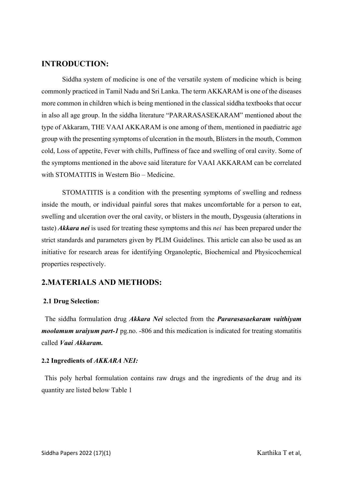# INTRODUCTION:

Siddha system of medicine is one of the versatile system of medicine which is being commonly practiced in Tamil Nadu and Sri Lanka. The term AKKARAM is one of the diseases more common in children which is being mentioned in the classical siddha textbooks that occur in also all age group. In the siddha literature "PARARASASEKARAM" mentioned about the type of Akkaram, THE VAAI AKKARAM is one among of them, mentioned in paediatric age group with the presenting symptoms of ulceration in the mouth, Blisters in the mouth, Common cold, Loss of appetite, Fever with chills, Puffiness of face and swelling of oral cavity. Some of the symptoms mentioned in the above said literature for VAAI AKKARAM can be correlated with STOMATITIS in Western Bio – Medicine.

STOMATITIS is a condition with the presenting symptoms of swelling and redness inside the mouth, or individual painful sores that makes uncomfortable for a person to eat, swelling and ulceration over the oral cavity, or blisters in the mouth, Dysgeusia (alterations in taste) Akkara nei is used for treating these symptoms and this nei has been prepared under the strict standards and parameters given by PLIM Guidelines. This article can also be used as an initiative for research areas for identifying Organoleptic, Biochemical and Physicochemical properties respectively.

# 2.MATERIALS AND METHODS:

#### 2.1 Drug Selection:

The siddha formulation drug Akkara Nei selected from the Pararasasaekaram vaithiyam *moolamum uraiyum part-1* pg.no.  $-806$  and this medication is indicated for treating stomatitis called Vaai Akkaram.

#### 2.2 Ingredients of AKKARA NEI:

 This poly herbal formulation contains raw drugs and the ingredients of the drug and its quantity are listed below Table 1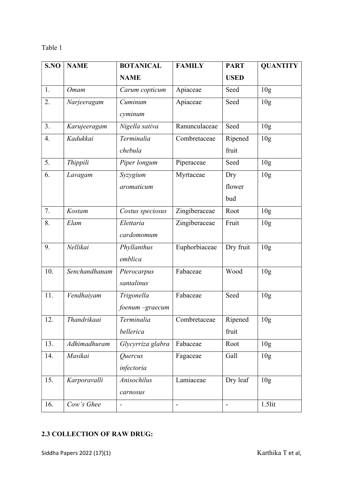### Table 1

| S.NO | <b>NAME</b>   | <b>BOTANICAL</b>  | <b>FAMILY</b>  | <b>PART</b>              | <b>QUANTITY</b> |
|------|---------------|-------------------|----------------|--------------------------|-----------------|
|      |               | <b>NAME</b>       |                | <b>USED</b>              |                 |
| 1.   | <b>Omam</b>   | Carum copticum    | Apiaceae       | Seed                     | 10 <sub>g</sub> |
| 2.   | Narjeeragam   | Cuminum           | Apiaceae       | Seed                     | 10 <sub>g</sub> |
|      |               | cyminum           |                |                          |                 |
| 3.   | Karujeeragam  | Nigella sativa    | Ranunculaceae  | Seed                     | 10 <sub>g</sub> |
| 4.   | Kadukkai      | Terminalia        | Combretaceae   | Ripened                  | 10 <sub>g</sub> |
|      |               | chebula           |                | fruit                    |                 |
| 5.   | Thippili      | Piper longum      | Piperaceae     | Seed                     | 10 <sub>g</sub> |
| 6.   | Lavagam       | Syzygium          | Myrtaceae      | Dry                      | 10 <sub>g</sub> |
|      |               | aromaticum        |                | flower                   |                 |
|      |               |                   |                | bud                      |                 |
| 7.   | Kostam        | Costus speciosus  | Zingiberaceae  | Root                     | 10 <sub>g</sub> |
| 8.   | Elam          | Elettaria         | Zingiberaceae  | Fruit                    | 10 <sub>g</sub> |
|      |               | cardomomum        |                |                          |                 |
| 9.   | Nellikai      | Phyllanthus       | Euphorbiaceae  | Dry fruit                | 10 <sub>g</sub> |
|      |               | emblica           |                |                          |                 |
| 10.  | Senchandhanam | Pterocarpus       | Fabaceae       | Wood                     | 10 <sub>g</sub> |
|      |               | santalinus        |                |                          |                 |
| 11.  | Vendhaiyam    | Trigonella        | Fabaceae       | Seed                     | 10 <sub>g</sub> |
|      |               | foenum –graecum   |                |                          |                 |
| 12.  | Thandrikaai   | Terminalia        | Combretaceae   | Ripened                  | 10 <sub>g</sub> |
|      |               | bellerica         |                | fruit                    |                 |
| 13.  | Adhimadhuram  | Glycyrriza glabra | Fabaceae       | Root                     | 10 <sub>g</sub> |
| 14.  | Masikai       | Quercus           | Fagaceae       | Gall                     | 10 <sub>g</sub> |
|      |               | infectoria        |                |                          |                 |
| 15.  | Karporavalli  | Anisochilus       | Lamiaceae      | Dry leaf                 | 10 <sub>g</sub> |
|      |               | carnosus          |                |                          |                 |
| 16.  | Cow's Ghee    | $\frac{1}{2}$     | $\blacksquare$ | $\overline{\phantom{a}}$ | $1.5$ lit       |

# 2.3 COLLECTION OF RAW DRUG: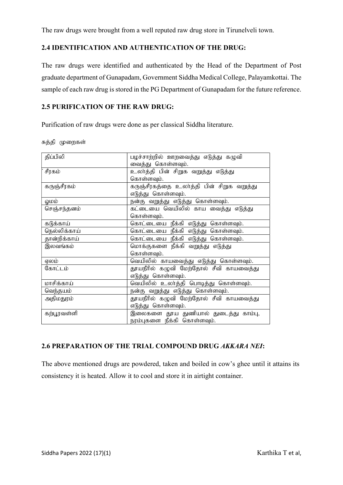The raw drugs were brought from a well reputed raw drug store in Tirunelveli town.

## 2.4 IDENTIFICATION AND AUTHENTICATION OF THE DRUG:

The raw drugs were identified and authenticated by the Head of the Department of Post graduate department of Gunapadam, Government Siddha Medical College, Palayamkottai. The sample of each raw drug is stored in the PG Department of Gunapadam for the future reference.

## 2.5 PURIFICATION OF THE RAW DRUG:

Purification of raw drugs were done as per classical Siddha literature.

| சுத்தி | முறைகள |
|--------|--------|
|        |        |

| திப்பிலி                                             | பழச்சாற்றில் ஊறவைத்து எடுத்து கழுவி       |  |  |
|------------------------------------------------------|-------------------------------------------|--|--|
|                                                      | வைத்து கொள்ளவும்.                         |  |  |
| சீரகம்                                               | உலர்த்தி பின் சிறுக வறுத்து எடுத்து       |  |  |
|                                                      | கொள்ளவும்.                                |  |  |
| கருஞ்சீரகம்                                          | கருஞ்சீரகத்தை உலா்த்தி பின் சிறுக வறுத்து |  |  |
|                                                      | எடுத்து கொள்ளவும்.                        |  |  |
| லும்                                                 | நன்கு வறுத்து எடுத்து கொள்ளவும்.          |  |  |
| செஞ்சந்தனம்                                          | கட்டையை வெயிலில் காய வைத்து எடுத்து       |  |  |
|                                                      | கொள்ளவும்.                                |  |  |
| கடுக்காய்                                            | கொட்டையை நீக்கி எடுத்து கொள்ளவும்.        |  |  |
| நெல்லிக்காய்                                         | கொட்டையை நீக்கி எடுத்து கொள்ளவும்.        |  |  |
| தான்றிக்காய்                                         | கொட்டையை நீக்கி எடுத்து கொள்ளவும்.        |  |  |
| இலவங்கம்                                             | மொக்குகளை நீக்கி வறுத்து எடுத்து          |  |  |
|                                                      | கொள்ளவும்.                                |  |  |
| ஏலம்                                                 | வெயிலில் காயவைத்து எடுத்து கொள்ளவும்.     |  |  |
| கோட்டம்                                              | தூயநீரில் கழுவி மேற்தோல் சீவி காயவைத்து   |  |  |
|                                                      | எடுத்து கொள்ளவும்.                        |  |  |
| மாசிக்காய்                                           | வெயிலில் உலாத்தி பொடித்து கொள்ளவும்.      |  |  |
| வெந்தயம்                                             | நன்கு வறுத்து எடுத்து கொள்ளவும்.          |  |  |
| தூயநீரில் கழுவி மேற்தோல் சீவி காயவைத்து<br>அதிமதுரம் |                                           |  |  |
|                                                      | எடுத்து கொள்ளவும்.                        |  |  |
| கற்பூரவள்ளி                                          | இலைகளை தூய துணியால் துடைத்து காம்பு,      |  |  |
|                                                      | நரம்புகளை நீக்கி கொள்ளவும்.               |  |  |

# 2.6 PREPARATION OF THE TRIAL COMPOUND DRUG AKKARA NEI:

The above mentioned drugs are powdered, taken and boiled in cow's ghee until it attains its consistency it is heated. Allow it to cool and store it in airtight container.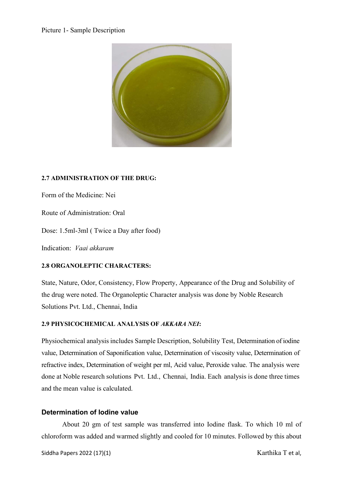#### Picture 1- Sample Description



### 2.7 ADMINISTRATION OF THE DRUG:

Form of the Medicine: Nei

Route of Administration: Oral

Dose: 1.5ml-3ml ( Twice a Day after food)

Indication: Vaai akkaram

### 2.8 ORGANOLEPTIC CHARACTERS:

State, Nature, Odor, Consistency, Flow Property, Appearance of the Drug and Solubility of the drug were noted. The Organoleptic Character analysis was done by Noble Research Solutions Pvt. Ltd., Chennai, India

### 2.9 PHYSICOCHEMICAL ANALYSIS OF AKKARA NEI:

Physiochemical analysis includes Sample Description, Solubility Test, Determination of iodine value, Determination of Saponification value, Determination of viscosity value, Determination of refractive index, Determination of weight per ml, Acid value, Peroxide value. The analysis were done at Noble research solutions Pvt. Ltd., Chennai, India. Each analysis is done three times and the mean value is calculated.

### Determination of Iodine value

About 20 gm of test sample was transferred into Iodine flask. To which 10 ml of chloroform was added and warmed slightly and cooled for 10 minutes. Followed by this about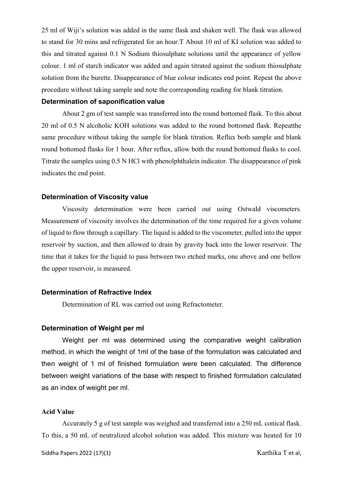25 ml of Wiji's solution was added in the same flask and shaken well. The flask was allowed to stand for 30 mins and refrigerated for an hour.T About 10 ml of KI solution was added to this and titrated against 0.1 N Sodium thiosulphate solutions until the appearance of yellow colour. 1 ml of starch indicator was added and again titrated against the sodium thiosulphate solution from the burette. Disappearance of blue colour indicates end point. Repeat the above procedure without taking sample and note the corresponding reading for blank titration.

#### Determination of saponification value

About 2 gm of test sample was transferred into the round bottomed flask. To this about 20 ml of 0.5 N alcoholic KOH solutions was added to the round bottomed flask. Repeatthe same procedure without taking the sample for blank titration. Reflux both sample and blank round bottomed flasks for 1 hour. After reflux, allow both the round bottomed flasks to cool. Titrate the samples using 0.5 N HCl with phenolphthalein indicator. The disappearance of pink indicates the end point.

#### Determination of Viscosity value

Viscosity determination were been carried out using Ostwald viscometers. Measurement of viscosity involves the determination of the time required for a given volume of liquid to flow through a capillary. The liquid is added to the viscometer, pulled into the upper reservoir by suction, and then allowed to drain by gravity back into the lower reservoir. The time that it takes for the liquid to pass between two etched marks, one above and one bellow the upper reservoir, is measured.

#### Determination of Refractive Index

Determination of RL was carried out using Refractometer.

#### Determination of Weight per ml

 Weight per ml was determined using the comparative weight calibration method, in which the weight of 1ml of the base of the formulation was calculated and then weight of 1 ml of finished formulation were been calculated. The difference between weight variations of the base with respect to finished formulation calculated as an index of weight per ml.

#### Acid Value

Accurately 5 g of test sample was weighed and transferred into a 250 mL conical flask. To this, a 50 mL of neutralized alcohol solution was added. This mixture was heated for 10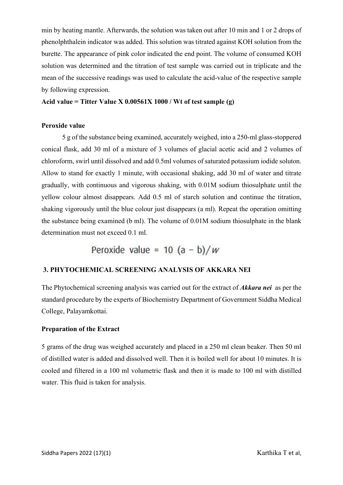min by heating mantle. Afterwards, the solution was taken out after 10 min and 1 or 2 drops of phenolphthalein indicator was added. This solution was titrated against KOH solution from the burette. The appearance of pink color indicated the end point. The volume of consumed KOH solution was determined and the titration of test sample was carried out in triplicate and the mean of the successive readings was used to calculate the acid-value of the respective sample by following expression.

#### Acid value = Titter Value X  $0.00561X 1000$  / Wt of test sample (g)

#### Peroxide value

5 g of the substance being examined, accurately weighed, into a 250-ml glass-stoppered conical flask, add 30 ml of a mixture of 3 volumes of glacial acetic acid and 2 volumes of chloroform, swirl until dissolved and add 0.5ml volumes of saturated potassium iodide soluton. Allow to stand for exactly 1 minute, with occasional shaking, add 30 ml of water and titrate gradually, with continuous and vigorous shaking, with 0.01M sodium thiosulphate until the yellow colour almost disappears. Add 0.5 ml of starch solution and continue the titration, shaking vigorously until the blue colour just disappears (a ml). Repeat the operation omitting the substance being examined (b ml). The volume of 0.01M sodium thiosulphate in the blank determination must not exceed 0.1 ml.

Peroxide value =  $10 (a - b)/w$ 

# 3. PHYTOCHEMICAL SCREENING ANALYSIS OF AKKARA NEI

The Phytochemical screening analysis was carried out for the extract of **Akkara nei** as per the standard procedure by the experts of Biochemistry Department of Government Siddha Medical College, Palayamkottai.

#### Preparation of the Extract

5 grams of the drug was weighed accurately and placed in a 250 ml clean beaker. Then 50 ml of distilled water is added and dissolved well. Then it is boiled well for about 10 minutes. It is cooled and filtered in a 100 ml volumetric flask and then it is made to 100 ml with distilled water. This fluid is taken for analysis.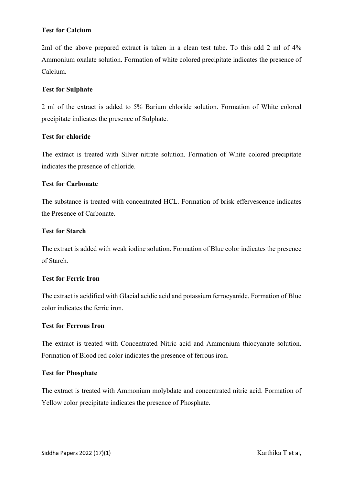### Test for Calcium

2ml of the above prepared extract is taken in a clean test tube. To this add 2 ml of 4% Ammonium oxalate solution. Formation of white colored precipitate indicates the presence of Calcium.

### Test for Sulphate

2 ml of the extract is added to 5% Barium chloride solution. Formation of White colored precipitate indicates the presence of Sulphate.

### Test for chloride

The extract is treated with Silver nitrate solution. Formation of White colored precipitate indicates the presence of chloride.

### Test for Carbonate

The substance is treated with concentrated HCL. Formation of brisk effervescence indicates the Presence of Carbonate.

### Test for Starch

The extract is added with weak iodine solution. Formation of Blue color indicates the presence of Starch.

#### Test for Ferric Iron

The extract is acidified with Glacial acidic acid and potassium ferrocyanide. Formation of Blue color indicates the ferric iron.

### Test for Ferrous Iron

The extract is treated with Concentrated Nitric acid and Ammonium thiocyanate solution. Formation of Blood red color indicates the presence of ferrous iron.

#### Test for Phosphate

The extract is treated with Ammonium molybdate and concentrated nitric acid. Formation of Yellow color precipitate indicates the presence of Phosphate.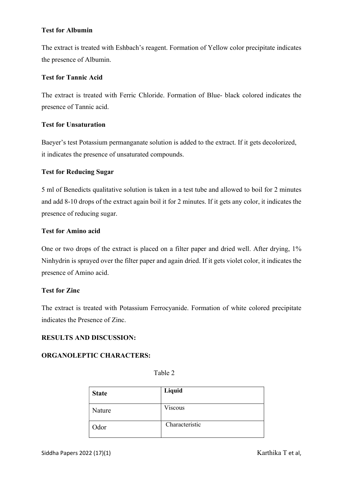### Test for Albumin

The extract is treated with Eshbach's reagent. Formation of Yellow color precipitate indicates the presence of Albumin.

### Test for Tannic Acid

The extract is treated with Ferric Chloride. Formation of Blue- black colored indicates the presence of Tannic acid.

### Test for Unsaturation

Baeyer's test Potassium permanganate solution is added to the extract. If it gets decolorized, it indicates the presence of unsaturated compounds.

### Test for Reducing Sugar

5 ml of Benedicts qualitative solution is taken in a test tube and allowed to boil for 2 minutes and add 8-10 drops of the extract again boil it for 2 minutes. If it gets any color, it indicates the presence of reducing sugar.

### Test for Amino acid

One or two drops of the extract is placed on a filter paper and dried well. After drying, 1% Ninhydrin is sprayed over the filter paper and again dried. If it gets violet color, it indicates the presence of Amino acid.

#### Test for Zinc

The extract is treated with Potassium Ferrocyanide. Formation of white colored precipitate indicates the Presence of Zinc.

### RESULTS AND DISCUSSION:

#### ORGANOLEPTIC CHARACTERS:

| <b>State</b> | Liquid         |
|--------------|----------------|
| Nature       | <b>Viscous</b> |
| Odor         | Characteristic |

Table 2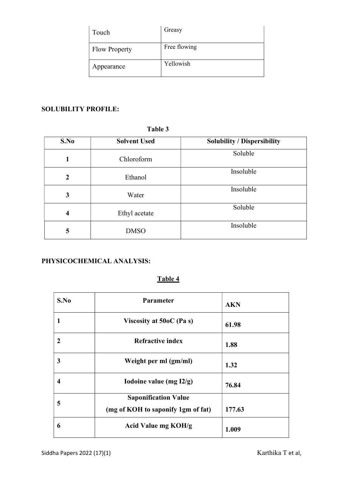| Touch                | Greasy       |
|----------------------|--------------|
| <b>Flow Property</b> | Free flowing |
| Appearance           | Yellowish    |

# SOLUBILITY PROFILE:

### Table 3

| S.No           | <b>Solvent Used</b> | <b>Solubility / Dispersibility</b> |
|----------------|---------------------|------------------------------------|
| 1              | Chloroform          | Soluble                            |
| $\overline{2}$ | Ethanol             | Insoluble                          |
| 3              | Water               | Insoluble                          |
| $\overline{4}$ | Ethyl acetate       | Soluble                            |
| 5              | <b>DMSO</b>         | Insoluble                          |

### PHYSICOCHEMICAL ANALYSIS:

# Table 4

| S.No             | <b>Parameter</b>                                                  | <b>AKN</b> |
|------------------|-------------------------------------------------------------------|------------|
|                  | Viscosity at $50oC$ (Pa s)                                        | 61.98      |
| $\boldsymbol{2}$ | <b>Refractive index</b>                                           | 1.88       |
| 3                | Weight per ml (gm/ml)                                             | 1.32       |
| 4                | Iodoine value (mg I2/g)                                           | 76.84      |
| 5                | <b>Saponification Value</b><br>(mg of KOH to saponify 1gm of fat) | 177.63     |
| 6                | Acid Value mg KOH/g                                               | 1.009      |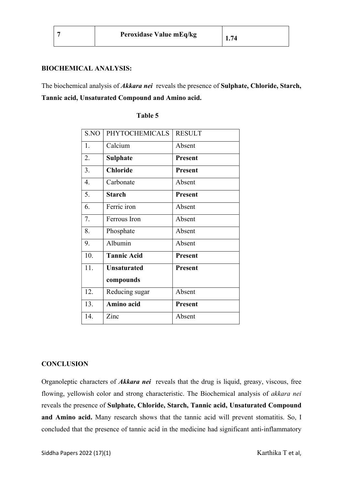#### BIOCHEMICAL ANALYSIS:

The biochemical analysis of *Akkara nei* reveals the presence of **Sulphate**, Chloride, Starch, Tannic acid, Unsaturated Compound and Amino acid.

| S.NO | <b>PHYTOCHEMICALS</b> | <b>RESULT</b>  |
|------|-----------------------|----------------|
| 1.   | Calcium               | Absent         |
| 2.   | <b>Sulphate</b>       | <b>Present</b> |
| 3.   | <b>Chloride</b>       | <b>Present</b> |
| 4.   | Carbonate             | Absent         |
| 5.   | <b>Starch</b>         | <b>Present</b> |
| 6.   | Ferric iron           | Absent         |
| 7.   | Ferrous Iron          | Absent         |
| 8.   | Phosphate             | Absent         |
| 9.   | Albumin               | Absent         |
| 10.  | <b>Tannic Acid</b>    | <b>Present</b> |
| 11.  | <b>Unsaturated</b>    | Present        |
|      | compounds             |                |
| 12.  | Reducing sugar        | Absent         |
| 13.  | Amino acid            | <b>Present</b> |
| 14.  | Zinc                  | Absent         |

#### Table 5

#### **CONCLUSION**

Organoleptic characters of *Akkara nei* reveals that the drug is liquid, greasy, viscous, free flowing, yellowish color and strong characteristic. The Biochemical analysis of akkara nei reveals the presence of Sulphate, Chloride, Starch, Tannic acid, Unsaturated Compound and Amino acid. Many research shows that the tannic acid will prevent stomatitis. So, I concluded that the presence of tannic acid in the medicine had significant anti-inflammatory